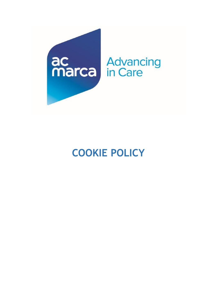

# **COOKIE POLICY**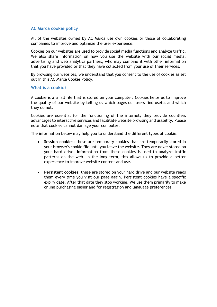#### **AC Marca cookie policy**

All of the websites owned by AC Marca use own cookies or those of collaborating companies to improve and optimize the user experience.

Cookies on our websites are used to provide social media functions and analyze traffic. We also share information on how you use the website with our social media, advertising and web analytics partners, who may combine it with other information that you have provided or that they have collected from your use of their services.

By browsing our websites, we understand that you consent to the use of cookies as set out in this AC Marca Cookie Policy.

#### **What is a cookie?**

A cookie is a small file that is stored on your computer. Cookies helps us to improve the quality of our website by telling us which pages our users find useful and which they do not.

Cookies are essential for the functioning of the internet; they provide countless advantages to interactive services and facilitate website browsing and usability. Please note that cookies cannot damage your computer.

The information below may help you to understand the different types of cookie:

- **Session cookies**: these are temporary cookies that are temporarily stored in your browser's cookie file until you leave the website. They are never stored on your hard drive. Information from these cookies is used to analyze traffic patterns on the web. In the long term, this allows us to provide a better experience to improve website content and use.
- **Persistent cookies**: these are stored on your hard drive and our website reads them every time you visit our page again. Persistent cookies have a specific expiry date. After that date they stop working. We use them primarily to make online purchasing easier and for registration and language preferences.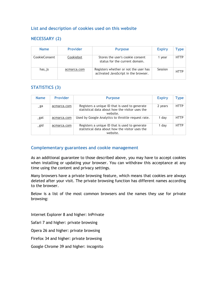## **List and description of cookies used on this website**

# **NECESSARY (2)**

| <b>Name</b>   | <b>Provider</b> | <b>Purpose</b>                                                                | <b>Expiry</b> | Type        |
|---------------|-----------------|-------------------------------------------------------------------------------|---------------|-------------|
| CookieConsent | Cookiebot       | Stores the user's cookie consent<br>status for the current domain.            | 1 year        | <b>HTTP</b> |
| $has$ is      | acmarca.com     | Registers whether or not the user has<br>activated JavaScript in the browser. | Session       | <b>HTTP</b> |

# **STATISTICS (3)**

| <b>Name</b>    | <b>Provider</b> | <b>Purpose</b>                                                                                                | <b>Expiry</b> | Type        |
|----------------|-----------------|---------------------------------------------------------------------------------------------------------------|---------------|-------------|
| $\mathsf{g}$ a | acmarca.com     | Registers a unique ID that is used to generate<br>statistical data about how the visitor uses the<br>website. | 2 years       | <b>HTTP</b> |
| _gat           | acmarca.com     | Used by Google Analytics to throttle request rate.                                                            | 1 day         | <b>HTTP</b> |
| _gid           | acmarca.com     | Registers a unique ID that is used to generate<br>statistical data about how the visitor uses the<br>website. | 1 day         | <b>HTTP</b> |

#### **Complementary guarantees and cookie management**

As an additional guarantee to those described above, you may have to accept cookies when installing or updating your browser. You can withdraw this acceptance at any time using the content and privacy settings.

Many browsers have a private browsing feature, which means that cookies are always deleted after your visit. The private browsing function has different names according to the browser.

Below is a list of the most common browsers and the names they use for private browsing:

Internet Explorer 8 and higher: InPrivate

Safari 7 and higher: private browsing

Opera 26 and higher: private browsing

Firefox 34 and higher: private browsing

Google Chrome 39 and higher: incognito